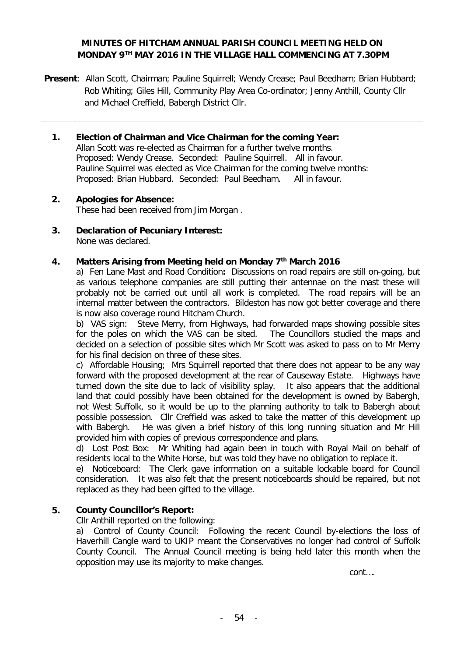# **MINUTES OF HITCHAM ANNUAL PARISH COUNCIL MEETING HELD ON MONDAY 9TH MAY 2016 IN THE VILLAGE HALL COMMENCING AT 7.30PM**

**Present**: Allan Scott, Chairman; Pauline Squirrell; Wendy Crease; Paul Beedham; Brian Hubbard; Rob Whiting; Giles Hill, Community Play Area Co-ordinator; Jenny Anthill, County Cllr and Michael Creffield, Babergh District Cllr.

٦

Τ

| 1. | Election of Chairman and Vice Chairman for the coming Year:<br>Allan Scott was re-elected as Chairman for a further twelve months.<br>Proposed: Wendy Crease. Seconded: Pauline Squirrell. All in favour.<br>Pauline Squirrel was elected as Vice Chairman for the coming twelve months:<br>Proposed: Brian Hubbard. Seconded: Paul Beedham. All in favour.                                                                                                                                                                                                                                                                                                                                                                                                                                                                                                                                                                                                                                                                                                                                                                                                                                                                                                                                                                                                                                                                                                                                                                                                                                                                                                                                                                                                                                                                                                                                                                                                 |
|----|-------------------------------------------------------------------------------------------------------------------------------------------------------------------------------------------------------------------------------------------------------------------------------------------------------------------------------------------------------------------------------------------------------------------------------------------------------------------------------------------------------------------------------------------------------------------------------------------------------------------------------------------------------------------------------------------------------------------------------------------------------------------------------------------------------------------------------------------------------------------------------------------------------------------------------------------------------------------------------------------------------------------------------------------------------------------------------------------------------------------------------------------------------------------------------------------------------------------------------------------------------------------------------------------------------------------------------------------------------------------------------------------------------------------------------------------------------------------------------------------------------------------------------------------------------------------------------------------------------------------------------------------------------------------------------------------------------------------------------------------------------------------------------------------------------------------------------------------------------------------------------------------------------------------------------------------------------------|
| 2. | <b>Apologies for Absence:</b><br>These had been received from Jim Morgan.                                                                                                                                                                                                                                                                                                                                                                                                                                                                                                                                                                                                                                                                                                                                                                                                                                                                                                                                                                                                                                                                                                                                                                                                                                                                                                                                                                                                                                                                                                                                                                                                                                                                                                                                                                                                                                                                                   |
| 3. | <b>Declaration of Pecuniary Interest:</b><br>None was declared.                                                                                                                                                                                                                                                                                                                                                                                                                                                                                                                                                                                                                                                                                                                                                                                                                                                                                                                                                                                                                                                                                                                                                                                                                                                                                                                                                                                                                                                                                                                                                                                                                                                                                                                                                                                                                                                                                             |
| 4. | Matters Arising from Meeting held on Monday 7th March 2016<br>a) Fen Lane Mast and Road Condition: Discussions on road repairs are still on-going, but<br>as various telephone companies are still putting their antennae on the mast these will<br>probably not be carried out until all work is completed. The road repairs will be an<br>internal matter between the contractors. Bildeston has now got better coverage and there<br>is now also coverage round Hitcham Church.<br>b) VAS sign: Steve Merry, from Highways, had forwarded maps showing possible sites<br>for the poles on which the VAS can be sited.  The Councillors studied the maps and<br>decided on a selection of possible sites which Mr Scott was asked to pass on to Mr Merry<br>for his final decision on three of these sites.<br>c) Affordable Housing; Mrs Squirrell reported that there does not appear to be any way<br>forward with the proposed development at the rear of Causeway Estate. Highways have<br>turned down the site due to lack of visibility splay. It also appears that the additional<br>land that could possibly have been obtained for the development is owned by Babergh,<br>not West Suffolk, so it would be up to the planning authority to talk to Babergh about<br>possible possession. Cllr Creffield was asked to take the matter of this development up<br>with Babergh. He was given a brief history of this long running situation and Mr Hill<br>provided him with copies of previous correspondence and plans.<br>d) Lost Post Box: Mr Whiting had again been in touch with Royal Mail on behalf of<br>residents local to the White Horse, but was told they have no obligation to replace it.<br>e) Noticeboard: The Clerk gave information on a suitable lockable board for Council<br>consideration. It was also felt that the present noticeboards should be repaired, but not<br>replaced as they had been gifted to the village. |
| 5. | <b>County Councillor's Report:</b><br>Cllr Anthill reported on the following:<br>a) Control of County Council: Following the recent Council by-elections the loss of<br>Haverhill Cangle ward to UKIP meant the Conservatives no longer had control of Suffolk<br>County Council. The Annual Council meeting is being held later this month when the<br>opposition may use its majority to make changes.<br>cont                                                                                                                                                                                                                                                                                                                                                                                                                                                                                                                                                                                                                                                                                                                                                                                                                                                                                                                                                                                                                                                                                                                                                                                                                                                                                                                                                                                                                                                                                                                                            |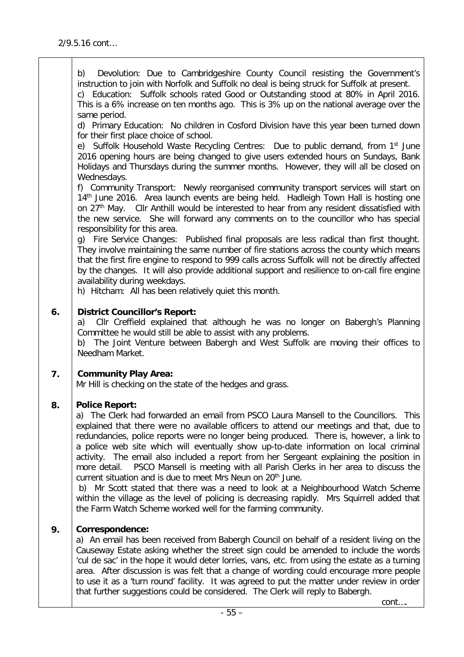b) Devolution: Due to Cambridgeshire County Council resisting the Government's instruction to join with Norfolk and Suffolk no deal is being struck for Suffolk at present.

c) Education: Suffolk schools rated Good or Outstanding stood at 80% in April 2016. This is a 6% increase on ten months ago. This is 3% up on the national average over the same period.

d) Primary Education: No children in Cosford Division have this year been turned down for their first place choice of school.

e) Suffolk Household Waste Recycling Centres: Due to public demand, from 1<sup>st</sup> June 2016 opening hours are being changed to give users extended hours on Sundays, Bank Holidays and Thursdays during the summer months. However, they will all be closed on Wednesdays.

f) Community Transport: Newly reorganised community transport services will start on 14<sup>th</sup> June 2016. Area launch events are being held. Hadleigh Town Hall is hosting one on 27<sup>th</sup> May. Cllr Anthill would be interested to hear from any resident dissatisfied with the new service. She will forward any comments on to the councillor who has special responsibility for this area.

g) Fire Service Changes: Published final proposals are less radical than first thought. They involve maintaining the same number of fire stations across the county which means that the first fire engine to respond to 999 calls across Suffolk will not be directly affected by the changes. It will also provide additional support and resilience to on-call fire engine availability during weekdays.

h) Hitcham: All has been relatively quiet this month.

### **6. District Councillor's Report:**

a) Cllr Creffield explained that although he was no longer on Babergh's Planning Committee he would still be able to assist with any problems.

b) The Joint Venture between Babergh and West Suffolk are moving their offices to Needham Market.

### **7. Community Play Area:**

Mr Hill is checking on the state of the hedges and grass.

### **8. Police Report:**

a) The Clerk had forwarded an email from PSCO Laura Mansell to the Councillors. This explained that there were no available officers to attend our meetings and that, due to redundancies, police reports were no longer being produced. There is, however, a link to a police web site which will eventually show up-to-date information on local criminal activity. The email also included a report from her Sergeant explaining the position in more detail. PSCO Mansell is meeting with all Parish Clerks in her area to discuss the current situation and is due to meet Mrs Neun on 20<sup>th</sup> June.

b) Mr Scott stated that there was a need to look at a Neighbourhood Watch Scheme within the village as the level of policing is decreasing rapidly. Mrs Squirrell added that the Farm Watch Scheme worked well for the farming community.

## **9. Correspondence:**

a) An email has been received from Babergh Council on behalf of a resident living on the Causeway Estate asking whether the street sign could be amended to include the words 'cul de sac' in the hope it would deter lorries, vans, etc. from using the estate as a turning area. After discussion is was felt that a change of wording could encourage more people to use it as a 'turn round' facility. It was agreed to put the matter under review in order that further suggestions could be considered. The Clerk will reply to Babergh.